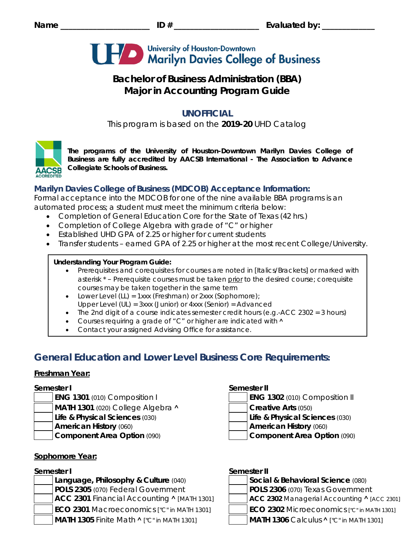

# **Bachelor of Business Administration (BBA) Major in Accounting Program Guide**

## **UNOFFICIAL**

This program is based on the **2019-20** UHD Catalog



*The programs of the University of Houston-Downtown Marilyn Davies College of Business are fully accredited by AACSB International - The Association to Advance Collegiate Schools of Business.*

## **Marilyn Davies College of Business (MDCOB) Acceptance Information:**

Formal acceptance into the MDCOB for one of the nine available BBA programs is an automated process; a student must meet the minimum criteria below:

- Completion of General Education Core for the State of Texas (42 hrs.)
- Completion of College Algebra with grade of "C" or higher
- Established UHD GPA of 2.25 or higher for current students
- Transfer students earned GPA of 2.25 or higher at the most recent College/University.

## **Understanding Your Program Guide:**

- Prerequisites and corequisites for courses are noted in *[Italics/Brackets]* or marked with asterisk \* – Prerequisite courses must be taken prior to the desired course; corequisite courses may be taken together in the same term
- Lower Level (LL) = 1xxx (Freshman) or 2xxx (Sophomore);
- Upper Level (UL) = 3xxx (Junior) or 4xxx (Senior) = Advanced
- The 2nd digit of a course indicates semester credit hours (e.g.- $ACC$  2302 = 3 hours)
- Courses requiring a grade of "C" or higher are indicated with  $\land$
- Contact your assigned Advising Office for assistance.

## **General Education and Lower Level Business Core Requirements:**

## **Freshman Year:**

- **ENG 1301** (010) Composition I **ENG 1302** (010) Composition II
- **MATH 1301** (020) College Algebra  $\land$ 
	- **Life & Physical Sciences** (030) **Life & Physical Sciences** (030)
	-
- 

## **Sophomore Year:**

**Language, Philosophy & Culture (040) POLS 2305** (070) Federal Government **ACC 2301 Financial Accounting ^ [MATH 1301] ECO 2301** Macroeconomics *["C" in MATH 1301]* **MATH 1305** Finite Math  $\wedge$  ["C" in MATH 1301] **MATH 1306** Calculus

## **Semester I Semester II**

| <b>ENG 1302 (010) Co</b>   |
|----------------------------|
| <b>Creative Arts (050)</b> |
| Life & Physical Sci        |

**American History** (060) **American History** (060)

**Component Area Option** (090) **Component Area Option** (090)

# **Semester I Semester II**

| Social & Behavioral Science (080)                              |  |
|----------------------------------------------------------------|--|
| POLS 2306 (070) Texas Government                               |  |
| ACC 2302 Managerial Accounting ^ [ACC 2301]                    |  |
| <b>ECO 2302 Microeconomics ["C" in MATH 1301]</b>              |  |
| <b>IMATH 1306</b> Calculus $\Lambda$ <i>I"C"</i> in MATH 13011 |  |